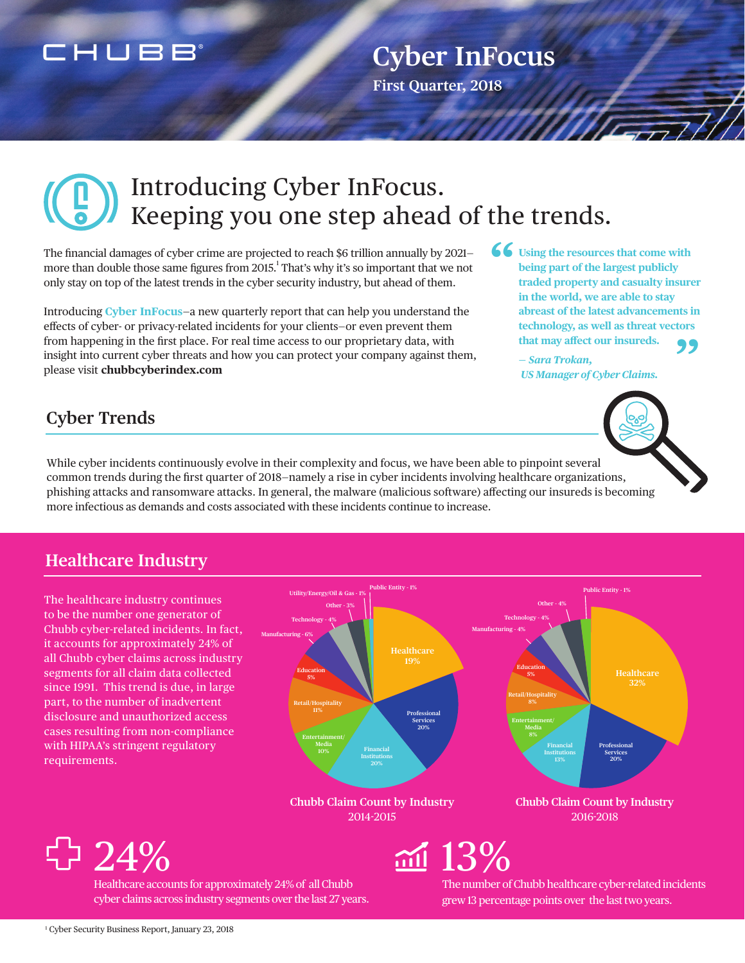### CHUBB

## **Cyber InFocus**

**First Quarter, 2018**

## Introducing Cyber InFocus. Keeping you one step ahead of the trends.

The financial damages of cyber crime are projected to reach \$6 trillion annually by 2021 more than double those same figures from 2015. $^1$  That's why it's so important that we not only stay on top of the latest trends in the cyber security industry, but ahead of them.

Introducing **Cyber InFocus**—a new quarterly report that can help you understand the effects of cyber- or privacy-related incidents for your clients—or even prevent them from happening in the first place. For real time access to our proprietary data, with insight into current cyber threats and how you can protect your company against them, please visit **chubbcyberindex.com**

**Using the resources that come with being part of the largest publicly traded property and casualty insurer in the world, we are able to stay abreast of the latest advancements in technology, as well as threat vectors that may affect our insureds. " "**

**—** *Sara Trokan, US Manager of Cyber Claims.*



While cyber incidents continuously evolve in their complexity and focus, we have been able to pinpoint several common trends during the first quarter of 2018—namely a rise in cyber incidents involving healthcare organizations, phishing attacks and ransomware attacks. In general, the malware (malicious software) affecting our insureds is becoming more infectious as demands and costs associated with these incidents continue to increase.

#### **Healthcare Industry**